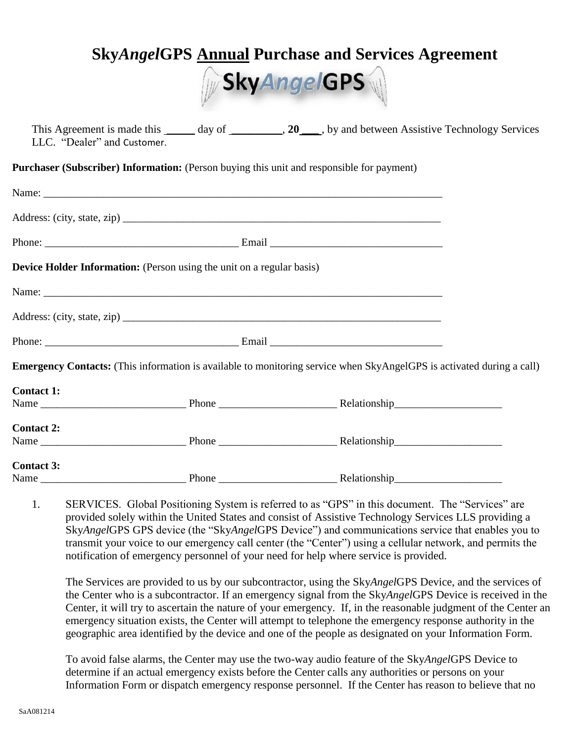# **Sky***Angel***GPS Annual Purchase and Services Agreement**



| This Agreement is made this _______ day of ___________, 20____, by and between Assistive Technology Services<br>LLC. "Dealer" and Customer. |  |  |
|---------------------------------------------------------------------------------------------------------------------------------------------|--|--|
| <b>Purchaser (Subscriber) Information:</b> (Person buying this unit and responsible for payment)                                            |  |  |
|                                                                                                                                             |  |  |
|                                                                                                                                             |  |  |
|                                                                                                                                             |  |  |
| Device Holder Information: (Person using the unit on a regular basis)                                                                       |  |  |
|                                                                                                                                             |  |  |
|                                                                                                                                             |  |  |
|                                                                                                                                             |  |  |
| Emergency Contacts: (This information is available to monitoring service when SkyAngelGPS is activated during a call)                       |  |  |
| <b>Contact 1:</b>                                                                                                                           |  |  |
|                                                                                                                                             |  |  |
| <b>Contact 2:</b>                                                                                                                           |  |  |
|                                                                                                                                             |  |  |
| <b>Contact 3:</b>                                                                                                                           |  |  |
|                                                                                                                                             |  |  |

1. SERVICES. Global Positioning System is referred to as "GPS" in this document. The "Services" are provided solely within the United States and consist of Assistive Technology Services LLS providing a Sky*Angel*GPS GPS device (the "Sky*Angel*GPS Device") and communications service that enables you to transmit your voice to our emergency call center (the "Center") using a cellular network, and permits the notification of emergency personnel of your need for help where service is provided.

The Services are provided to us by our subcontractor, using the Sky*Angel*GPS Device, and the services of the Center who is a subcontractor. If an emergency signal from the Sky*Angel*GPS Device is received in the Center, it will try to ascertain the nature of your emergency. If, in the reasonable judgment of the Center an emergency situation exists, the Center will attempt to telephone the emergency response authority in the geographic area identified by the device and one of the people as designated on your Information Form.

To avoid false alarms, the Center may use the two-way audio feature of the Sky*Angel*GPS Device to determine if an actual emergency exists before the Center calls any authorities or persons on your Information Form or dispatch emergency response personnel. If the Center has reason to believe that no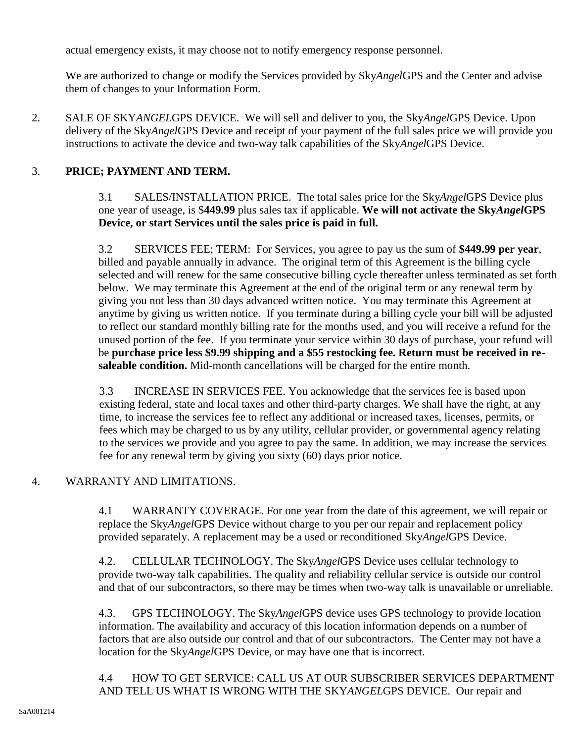actual emergency exists, it may choose not to notify emergency response personnel.

We are authorized to change or modify the Services provided by Sky*Angel*GPS and the Center and advise them of changes to your Information Form.

2. SALE OF SKY*ANGEL*GPS DEVICE. We will sell and deliver to you, the Sky*Angel*GPS Device. Upon delivery of the Sky*Angel*GPS Device and receipt of your payment of the full sales price we will provide you instructions to activate the device and two-way talk capabilities of the Sky*Angel*GPS Device.

# 3. **PRICE; PAYMENT AND TERM.**

3.1 SALES/INSTALLATION PRICE. The total sales price for the Sky*Angel*GPS Device plus one year of useage, is \$**449.99** plus sales tax if applicable. **We will not activate the Sky***Angel***GPS Device, or start Services until the sales price is paid in full.**

3.2 SERVICES FEE; TERM: For Services, you agree to pay us the sum of **\$449.99 per year**, billed and payable annually in advance. The original term of this Agreement is the billing cycle selected and will renew for the same consecutive billing cycle thereafter unless terminated as set forth below. We may terminate this Agreement at the end of the original term or any renewal term by giving you not less than 30 days advanced written notice. You may terminate this Agreement at anytime by giving us written notice. If you terminate during a billing cycle your bill will be adjusted to reflect our standard monthly billing rate for the months used, and you will receive a refund for the unused portion of the fee. If you terminate your service within 30 days of purchase, your refund will be **purchase price less \$9.99 shipping and a \$55 restocking fee. Return must be received in resaleable condition.** Mid-month cancellations will be charged for the entire month.

3.3 INCREASE IN SERVICES FEE. You acknowledge that the services fee is based upon existing federal, state and local taxes and other third-party charges. We shall have the right, at any time, to increase the services fee to reflect any additional or increased taxes, licenses, permits, or fees which may be charged to us by any utility, cellular provider, or governmental agency relating to the services we provide and you agree to pay the same. In addition, we may increase the services fee for any renewal term by giving you sixty (60) days prior notice.

#### 4. WARRANTY AND LIMITATIONS.

4.1 WARRANTY COVERAGE. For one year from the date of this agreement, we will repair or replace the Sky*Angel*GPS Device without charge to you per our repair and replacement policy provided separately. A replacement may be a used or reconditioned Sky*Angel*GPS Device.

4.2. CELLULAR TECHNOLOGY. The Sky*Angel*GPS Device uses cellular technology to provide two-way talk capabilities. The quality and reliability cellular service is outside our control and that of our subcontractors, so there may be times when two-way talk is unavailable or unreliable.

4.3. GPS TECHNOLOGY. The Sky*Angel*GPS device uses GPS technology to provide location information. The availability and accuracy of this location information depends on a number of factors that are also outside our control and that of our subcontractors. The Center may not have a location for the Sky*Angel*GPS Device, or may have one that is incorrect.

4.4 HOW TO GET SERVICE: CALL US AT OUR SUBSCRIBER SERVICES DEPARTMENT AND TELL US WHAT IS WRONG WITH THE SKY*ANGEL*GPS DEVICE. Our repair and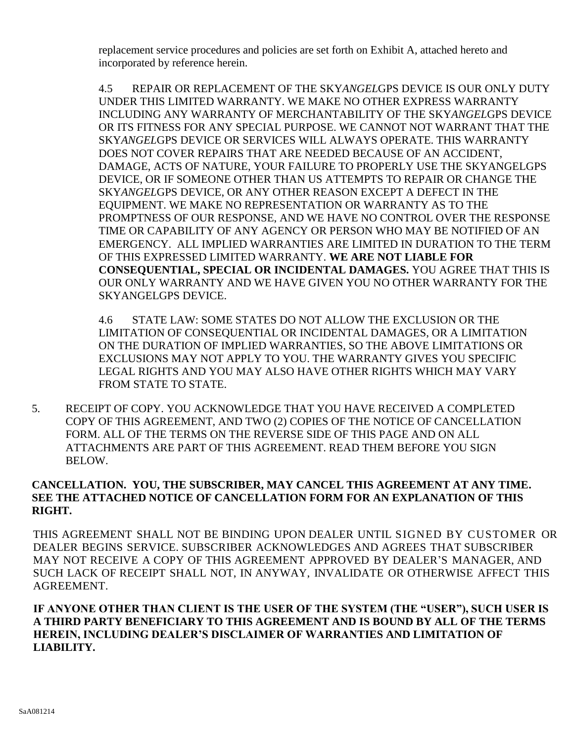replacement service procedures and policies are set forth on Exhibit A, attached hereto and incorporated by reference herein.

4.5 REPAIR OR REPLACEMENT OF THE SKY*ANGEL*GPS DEVICE IS OUR ONLY DUTY UNDER THIS LIMITED WARRANTY. WE MAKE NO OTHER EXPRESS WARRANTY INCLUDING ANY WARRANTY OF MERCHANTABILITY OF THE SKY*ANGEL*GPS DEVICE OR ITS FITNESS FOR ANY SPECIAL PURPOSE. WE CANNOT NOT WARRANT THAT THE SKY*ANGEL*GPS DEVICE OR SERVICES WILL ALWAYS OPERATE. THIS WARRANTY DOES NOT COVER REPAIRS THAT ARE NEEDED BECAUSE OF AN ACCIDENT, DAMAGE, ACTS OF NATURE, YOUR FAILURE TO PROPERLY USE THE SKYANGELGPS DEVICE, OR IF SOMEONE OTHER THAN US ATTEMPTS TO REPAIR OR CHANGE THE SKY*ANGEL*GPS DEVICE, OR ANY OTHER REASON EXCEPT A DEFECT IN THE EQUIPMENT. WE MAKE NO REPRESENTATION OR WARRANTY AS TO THE PROMPTNESS OF OUR RESPONSE, AND WE HAVE NO CONTROL OVER THE RESPONSE TIME OR CAPABILITY OF ANY AGENCY OR PERSON WHO MAY BE NOTIFIED OF AN EMERGENCY. ALL IMPLIED WARRANTIES ARE LIMITED IN DURATION TO THE TERM OF THIS EXPRESSED LIMITED WARRANTY. **WE ARE NOT LIABLE FOR CONSEQUENTIAL, SPECIAL OR INCIDENTAL DAMAGES.** YOU AGREE THAT THIS IS OUR ONLY WARRANTY AND WE HAVE GIVEN YOU NO OTHER WARRANTY FOR THE SKYANGELGPS DEVICE.

4.6 STATE LAW: SOME STATES DO NOT ALLOW THE EXCLUSION OR THE LIMITATION OF CONSEQUENTIAL OR INCIDENTAL DAMAGES, OR A LIMITATION ON THE DURATION OF IMPLIED WARRANTIES, SO THE ABOVE LIMITATIONS OR EXCLUSIONS MAY NOT APPLY TO YOU. THE WARRANTY GIVES YOU SPECIFIC LEGAL RIGHTS AND YOU MAY ALSO HAVE OTHER RIGHTS WHICH MAY VARY FROM STATE TO STATE.

5. RECEIPT OF COPY. YOU ACKNOWLEDGE THAT YOU HAVE RECEIVED A COMPLETED COPY OF THIS AGREEMENT, AND TWO (2) COPIES OF THE NOTICE OF CANCELLATION FORM. ALL OF THE TERMS ON THE REVERSE SIDE OF THIS PAGE AND ON ALL ATTACHMENTS ARE PART OF THIS AGREEMENT. READ THEM BEFORE YOU SIGN BELOW.

### **CANCELLATION. YOU, THE SUBSCRIBER, MAY CANCEL THIS AGREEMENT AT ANY TIME. SEE THE ATTACHED NOTICE OF CANCELLATION FORM FOR AN EXPLANATION OF THIS RIGHT.**

THIS AGREEMENT SHALL NOT BE BINDING UPON DEALER UNTIL SIGNED BY CUSTOMER OR DEALER BEGINS SERVICE. SUBSCRIBER ACKNOWLEDGES AND AGREES THAT SUBSCRIBER MAY NOT RECEIVE A COPY OF THIS AGREEMENT APPROVED BY DEALER'S MANAGER, AND SUCH LACK OF RECEIPT SHALL NOT, IN ANYWAY, INVALIDATE OR OTHERWISE AFFECT THIS AGREEMENT.

**IF ANYONE OTHER THAN CLIENT IS THE USER OF THE SYSTEM (THE "USER"), SUCH USER IS A THIRD PARTY BENEFICIARY TO THIS AGREEMENT AND IS BOUND BY ALL OF THE TERMS HEREIN, INCLUDING DEALER'S DISCLAIMER OF WARRANTIES AND LIMITATION OF LIABILITY.**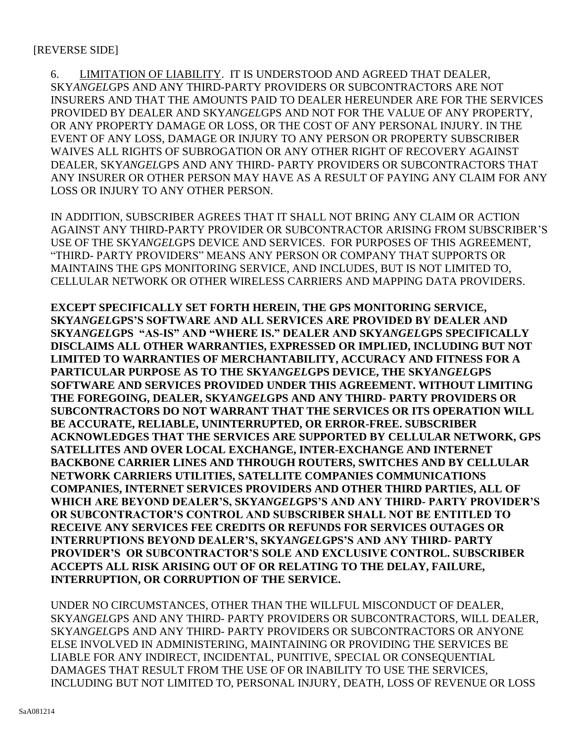#### [REVERSE SIDE]

6. LIMITATION OF LIABILITY. IT IS UNDERSTOOD AND AGREED THAT DEALER, SKY*ANGEL*GPS AND ANY THIRD-PARTY PROVIDERS OR SUBCONTRACTORS ARE NOT INSURERS AND THAT THE AMOUNTS PAID TO DEALER HEREUNDER ARE FOR THE SERVICES PROVIDED BY DEALER AND SKY*ANGEL*GPS AND NOT FOR THE VALUE OF ANY PROPERTY, OR ANY PROPERTY DAMAGE OR LOSS, OR THE COST OF ANY PERSONAL INJURY. IN THE EVENT OF ANY LOSS, DAMAGE OR INJURY TO ANY PERSON OR PROPERTY SUBSCRIBER WAIVES ALL RIGHTS OF SUBROGATION OR ANY OTHER RIGHT OF RECOVERY AGAINST DEALER, SKY*ANGEL*GPS AND ANY THIRD- PARTY PROVIDERS OR SUBCONTRACTORS THAT ANY INSURER OR OTHER PERSON MAY HAVE AS A RESULT OF PAYING ANY CLAIM FOR ANY LOSS OR INJURY TO ANY OTHER PERSON.

IN ADDITION, SUBSCRIBER AGREES THAT IT SHALL NOT BRING ANY CLAIM OR ACTION AGAINST ANY THIRD-PARTY PROVIDER OR SUBCONTRACTOR ARISING FROM SUBSCRIBER'S USE OF THE SKY*ANGEL*GPS DEVICE AND SERVICES. FOR PURPOSES OF THIS AGREEMENT, "THIRD- PARTY PROVIDERS" MEANS ANY PERSON OR COMPANY THAT SUPPORTS OR MAINTAINS THE GPS MONITORING SERVICE, AND INCLUDES, BUT IS NOT LIMITED TO, CELLULAR NETWORK OR OTHER WIRELESS CARRIERS AND MAPPING DATA PROVIDERS.

**EXCEPT SPECIFICALLY SET FORTH HEREIN, THE GPS MONITORING SERVICE, SKY***ANGEL***GPS'S SOFTWARE AND ALL SERVICES ARE PROVIDED BY DEALER AND SKY***ANGEL***GPS "AS-IS" AND "WHERE IS." DEALER AND SKY***ANGEL***GPS SPECIFICALLY DISCLAIMS ALL OTHER WARRANTIES, EXPRESSED OR IMPLIED, INCLUDING BUT NOT LIMITED TO WARRANTIES OF MERCHANTABILITY, ACCURACY AND FITNESS FOR A PARTICULAR PURPOSE AS TO THE SKY***ANGEL***GPS DEVICE, THE SKY***ANGEL***GPS SOFTWARE AND SERVICES PROVIDED UNDER THIS AGREEMENT. WITHOUT LIMITING THE FOREGOING, DEALER, SKY***ANGEL***GPS AND ANY THIRD- PARTY PROVIDERS OR SUBCONTRACTORS DO NOT WARRANT THAT THE SERVICES OR ITS OPERATION WILL BE ACCURATE, RELIABLE, UNINTERRUPTED, OR ERROR-FREE. SUBSCRIBER ACKNOWLEDGES THAT THE SERVICES ARE SUPPORTED BY CELLULAR NETWORK, GPS SATELLITES AND OVER LOCAL EXCHANGE, INTER-EXCHANGE AND INTERNET BACKBONE CARRIER LINES AND THROUGH ROUTERS, SWITCHES AND BY CELLULAR NETWORK CARRIERS UTILITIES, SATELLITE COMPANIES COMMUNICATIONS COMPANIES, INTERNET SERVICES PROVIDERS AND OTHER THIRD PARTIES, ALL OF WHICH ARE BEYOND DEALER'S, SKY***ANGEL***GPS'S AND ANY THIRD- PARTY PROVIDER'S OR SUBCONTRACTOR'S CONTROL AND SUBSCRIBER SHALL NOT BE ENTITLED TO RECEIVE ANY SERVICES FEE CREDITS OR REFUNDS FOR SERVICES OUTAGES OR INTERRUPTIONS BEYOND DEALER'S, SKY***ANGEL***GPS'S AND ANY THIRD- PARTY PROVIDER'S OR SUBCONTRACTOR'S SOLE AND EXCLUSIVE CONTROL. SUBSCRIBER ACCEPTS ALL RISK ARISING OUT OF OR RELATING TO THE DELAY, FAILURE, INTERRUPTION, OR CORRUPTION OF THE SERVICE.** 

UNDER NO CIRCUMSTANCES, OTHER THAN THE WILLFUL MISCONDUCT OF DEALER, SKY*ANGEL*GPS AND ANY THIRD- PARTY PROVIDERS OR SUBCONTRACTORS, WILL DEALER, SKY*ANGEL*GPS AND ANY THIRD- PARTY PROVIDERS OR SUBCONTRACTORS OR ANYONE ELSE INVOLVED IN ADMINISTERING, MAINTAINING OR PROVIDING THE SERVICES BE LIABLE FOR ANY INDIRECT, INCIDENTAL, PUNITIVE, SPECIAL OR CONSEQUENTIAL DAMAGES THAT RESULT FROM THE USE OF OR INABILITY TO USE THE SERVICES, INCLUDING BUT NOT LIMITED TO, PERSONAL INJURY, DEATH, LOSS OF REVENUE OR LOSS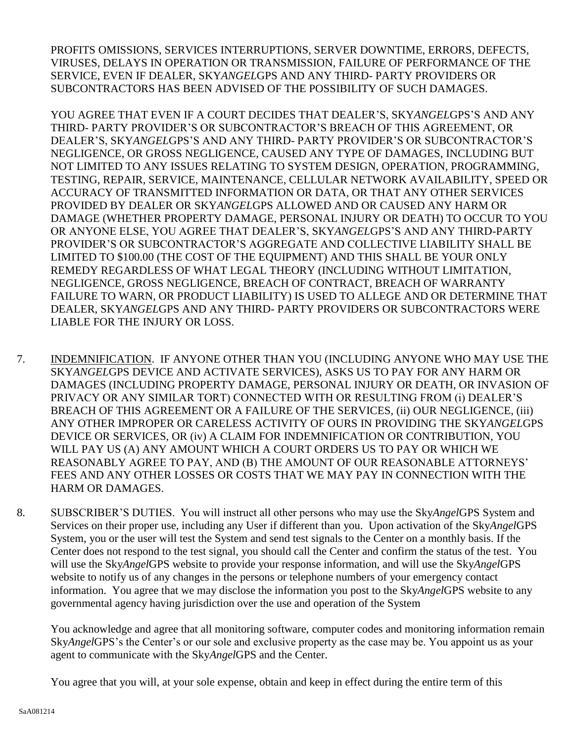PROFITS OMISSIONS, SERVICES INTERRUPTIONS, SERVER DOWNTIME, ERRORS, DEFECTS, VIRUSES, DELAYS IN OPERATION OR TRANSMISSION, FAILURE OF PERFORMANCE OF THE SERVICE, EVEN IF DEALER, SKY*ANGEL*GPS AND ANY THIRD- PARTY PROVIDERS OR SUBCONTRACTORS HAS BEEN ADVISED OF THE POSSIBILITY OF SUCH DAMAGES.

YOU AGREE THAT EVEN IF A COURT DECIDES THAT DEALER'S, SKY*ANGEL*GPS'S AND ANY THIRD- PARTY PROVIDER'S OR SUBCONTRACTOR'S BREACH OF THIS AGREEMENT, OR DEALER'S, SKY*ANGEL*GPS'S AND ANY THIRD- PARTY PROVIDER'S OR SUBCONTRACTOR'S NEGLIGENCE, OR GROSS NEGLIGENCE, CAUSED ANY TYPE OF DAMAGES, INCLUDING BUT NOT LIMITED TO ANY ISSUES RELATING TO SYSTEM DESIGN, OPERATION, PROGRAMMING, TESTING, REPAIR, SERVICE, MAINTENANCE, CELLULAR NETWORK AVAILABILITY, SPEED OR ACCURACY OF TRANSMITTED INFORMATION OR DATA, OR THAT ANY OTHER SERVICES PROVIDED BY DEALER OR SKY*ANGEL*GPS ALLOWED AND OR CAUSED ANY HARM OR DAMAGE (WHETHER PROPERTY DAMAGE, PERSONAL INJURY OR DEATH) TO OCCUR TO YOU OR ANYONE ELSE, YOU AGREE THAT DEALER'S, SKY*ANGEL*GPS'S AND ANY THIRD-PARTY PROVIDER'S OR SUBCONTRACTOR'S AGGREGATE AND COLLECTIVE LIABILITY SHALL BE LIMITED TO \$100.00 (THE COST OF THE EQUIPMENT) AND THIS SHALL BE YOUR ONLY REMEDY REGARDLESS OF WHAT LEGAL THEORY (INCLUDING WITHOUT LIMITATION, NEGLIGENCE, GROSS NEGLIGENCE, BREACH OF CONTRACT, BREACH OF WARRANTY FAILURE TO WARN, OR PRODUCT LIABILITY) IS USED TO ALLEGE AND OR DETERMINE THAT DEALER, SKY*ANGEL*GPS AND ANY THIRD- PARTY PROVIDERS OR SUBCONTRACTORS WERE LIABLE FOR THE INJURY OR LOSS.

- 7. INDEMNIFICATION. IF ANYONE OTHER THAN YOU (INCLUDING ANYONE WHO MAY USE THE SKY*ANGEL*GPS DEVICE AND ACTIVATE SERVICES), ASKS US TO PAY FOR ANY HARM OR DAMAGES (INCLUDING PROPERTY DAMAGE, PERSONAL INJURY OR DEATH, OR INVASION OF PRIVACY OR ANY SIMILAR TORT) CONNECTED WITH OR RESULTING FROM (i) DEALER'S BREACH OF THIS AGREEMENT OR A FAILURE OF THE SERVICES, (ii) OUR NEGLIGENCE, (iii) ANY OTHER IMPROPER OR CARELESS ACTIVITY OF OURS IN PROVIDING THE SKY*ANGEL*GPS DEVICE OR SERVICES, OR (iv) A CLAIM FOR INDEMNIFICATION OR CONTRIBUTION, YOU WILL PAY US (A) ANY AMOUNT WHICH A COURT ORDERS US TO PAY OR WHICH WE REASONABLY AGREE TO PAY, AND (B) THE AMOUNT OF OUR REASONABLE ATTORNEYS' FEES AND ANY OTHER LOSSES OR COSTS THAT WE MAY PAY IN CONNECTION WITH THE HARM OR DAMAGES.
- 8. SUBSCRIBER'S DUTIES. You will instruct all other persons who may use the Sky*Angel*GPS System and Services on their proper use, including any User if different than you. Upon activation of the Sky*Angel*GPS System, you or the user will test the System and send test signals to the Center on a monthly basis. If the Center does not respond to the test signal, you should call the Center and confirm the status of the test. You will use the Sky*Angel*GPS website to provide your response information, and will use the Sky*Angel*GPS website to notify us of any changes in the persons or telephone numbers of your emergency contact information. You agree that we may disclose the information you post to the Sky*Angel*GPS website to any governmental agency having jurisdiction over the use and operation of the System

You acknowledge and agree that all monitoring software, computer codes and monitoring information remain Sky*Angel*GPS's the Center's or our sole and exclusive property as the case may be. You appoint us as your agent to communicate with the Sky*Angel*GPS and the Center.

You agree that you will, at your sole expense, obtain and keep in effect during the entire term of this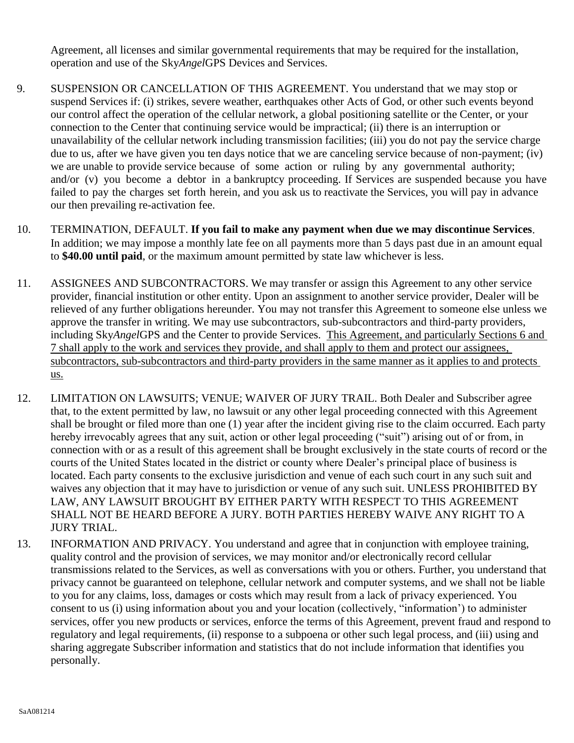Agreement, all licenses and similar governmental requirements that may be required for the installation, operation and use of the Sky*Angel*GPS Devices and Services.

- 9. SUSPENSION OR CANCELLATION OF THIS AGREEMENT. You understand that we may stop or suspend Services if: (i) strikes, severe weather, earthquakes other Acts of God, or other such events beyond our control affect the operation of the cellular network, a global positioning satellite or the Center, or your connection to the Center that continuing service would be impractical; (ii) there is an interruption or unavailability of the cellular network including transmission facilities; (iii) you do not pay the service charge due to us, after we have given you ten days notice that we are canceling service because of non-payment; (iv) we are unable to provide service because of some action or ruling by any governmental authority; and/or (v) you become a debtor in a bankruptcy proceeding. If Services are suspended because you have failed to pay the charges set forth herein, and you ask us to reactivate the Services, you will pay in advance our then prevailing re-activation fee.
- 10. TERMINATION, DEFAULT. **If you fail to make any payment when due we may discontinue Services**. In addition; we may impose a monthly late fee on all payments more than 5 days past due in an amount equal to **\$40.00 until paid**, or the maximum amount permitted by state law whichever is less.
- 11. ASSIGNEES AND SUBCONTRACTORS. We may transfer or assign this Agreement to any other service provider, financial institution or other entity. Upon an assignment to another service provider, Dealer will be relieved of any further obligations hereunder. You may not transfer this Agreement to someone else unless we approve the transfer in writing. We may use subcontractors, sub-subcontractors and third-party providers, including Sky*Angel*GPS and the Center to provide Services. This Agreement, and particularly Sections 6 and 7 shall apply to the work and services they provide, and shall apply to them and protect our assignees, subcontractors, sub-subcontractors and third-party providers in the same manner as it applies to and protects us.
- 12. LIMITATION ON LAWSUITS; VENUE; WAIVER OF JURY TRAIL. Both Dealer and Subscriber agree that, to the extent permitted by law, no lawsuit or any other legal proceeding connected with this Agreement shall be brought or filed more than one (1) year after the incident giving rise to the claim occurred. Each party hereby irrevocably agrees that any suit, action or other legal proceeding ("suit") arising out of or from, in connection with or as a result of this agreement shall be brought exclusively in the state courts of record or the courts of the United States located in the district or county where Dealer's principal place of business is located. Each party consents to the exclusive jurisdiction and venue of each such court in any such suit and waives any objection that it may have to jurisdiction or venue of any such suit. UNLESS PROHIBITED BY LAW, ANY LAWSUIT BROUGHT BY EITHER PARTY WITH RESPECT TO THIS AGREEMENT SHALL NOT BE HEARD BEFORE A JURY. BOTH PARTIES HEREBY WAIVE ANY RIGHT TO A JURY TRIAL.
- 13. INFORMATION AND PRIVACY. You understand and agree that in conjunction with employee training, quality control and the provision of services, we may monitor and/or electronically record cellular transmissions related to the Services, as well as conversations with you or others. Further, you understand that privacy cannot be guaranteed on telephone, cellular network and computer systems, and we shall not be liable to you for any claims, loss, damages or costs which may result from a lack of privacy experienced. You consent to us (i) using information about you and your location (collectively, "information') to administer services, offer you new products or services, enforce the terms of this Agreement, prevent fraud and respond to regulatory and legal requirements, (ii) response to a subpoena or other such legal process, and (iii) using and sharing aggregate Subscriber information and statistics that do not include information that identifies you personally.